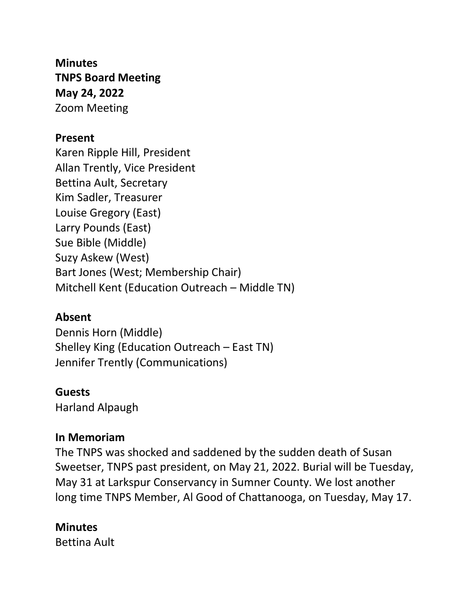**Minutes TNPS Board Meeting May 24, 2022** Zoom Meeting

#### **Present**

Karen Ripple Hill, President Allan Trently, Vice President Bettina Ault, Secretary Kim Sadler, Treasurer Louise Gregory (East) Larry Pounds (East) Sue Bible (Middle) Suzy Askew (West) Bart Jones (West; Membership Chair) Mitchell Kent (Education Outreach – Middle TN)

#### **Absent**

Dennis Horn (Middle) Shelley King (Education Outreach – East TN) Jennifer Trently (Communications)

#### **Guests**

Harland Alpaugh

#### **In Memoriam**

The TNPS was shocked and saddened by the sudden death of Susan Sweetser, TNPS past president, on May 21, 2022. Burial will be Tuesday, May 31 at Larkspur Conservancy in Sumner County. We lost another long time TNPS Member, Al Good of Chattanooga, on Tuesday, May 17.

## **Minutes**

Bettina Ault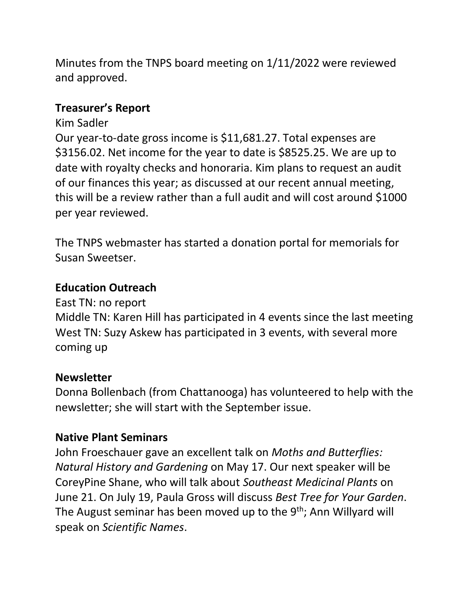Minutes from the TNPS board meeting on 1/11/2022 were reviewed and approved.

#### **Treasurer's Report**

#### Kim Sadler

Our year-to-date gross income is \$11,681.27. Total expenses are \$3156.02. Net income for the year to date is \$8525.25. We are up to date with royalty checks and honoraria. Kim plans to request an audit of our finances this year; as discussed at our recent annual meeting, this will be a review rather than a full audit and will cost around \$1000 per year reviewed.

The TNPS webmaster has started a donation portal for memorials for Susan Sweetser.

## **Education Outreach**

East TN: no report

Middle TN: Karen Hill has participated in 4 events since the last meeting West TN: Suzy Askew has participated in 3 events, with several more coming up

## **Newsletter**

Donna Bollenbach (from Chattanooga) has volunteered to help with the newsletter; she will start with the September issue.

## **Native Plant Seminars**

John Froeschauer gave an excellent talk on *Moths and Butterflies: Natural History and Gardening* on May 17. Our next speaker will be CoreyPine Shane, who will talk about *Southeast Medicinal Plants* on June 21. On July 19, Paula Gross will discuss *Best Tree for Your Garden*. The August seminar has been moved up to the 9<sup>th</sup>; Ann Willyard will speak on *Scientific Names*.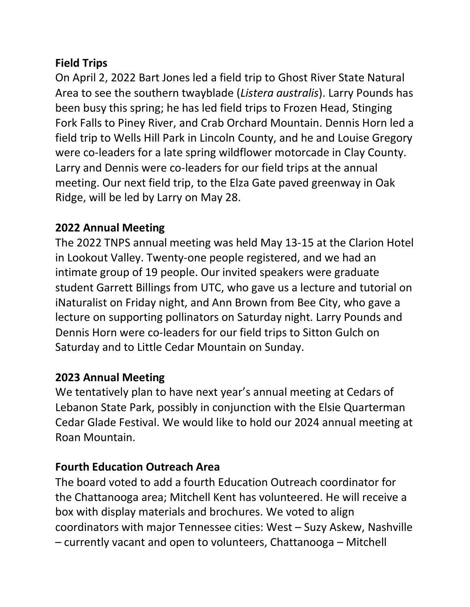# **Field Trips**

On April 2, 2022 Bart Jones led a field trip to Ghost River State Natural Area to see the southern twayblade (*Listera australis*). Larry Pounds has been busy this spring; he has led field trips to Frozen Head, Stinging Fork Falls to Piney River, and Crab Orchard Mountain. Dennis Horn led a field trip to Wells Hill Park in Lincoln County, and he and Louise Gregory were co-leaders for a late spring wildflower motorcade in Clay County. Larry and Dennis were co-leaders for our field trips at the annual meeting. Our next field trip, to the Elza Gate paved greenway in Oak Ridge, will be led by Larry on May 28.

## **2022 Annual Meeting**

The 2022 TNPS annual meeting was held May 13-15 at the Clarion Hotel in Lookout Valley. Twenty-one people registered, and we had an intimate group of 19 people. Our invited speakers were graduate student Garrett Billings from UTC, who gave us a lecture and tutorial on iNaturalist on Friday night, and Ann Brown from Bee City, who gave a lecture on supporting pollinators on Saturday night. Larry Pounds and Dennis Horn were co-leaders for our field trips to Sitton Gulch on Saturday and to Little Cedar Mountain on Sunday.

## **2023 Annual Meeting**

We tentatively plan to have next year's annual meeting at Cedars of Lebanon State Park, possibly in conjunction with the Elsie Quarterman Cedar Glade Festival. We would like to hold our 2024 annual meeting at Roan Mountain.

## **Fourth Education Outreach Area**

The board voted to add a fourth Education Outreach coordinator for the Chattanooga area; Mitchell Kent has volunteered. He will receive a box with display materials and brochures. We voted to align coordinators with major Tennessee cities: West – Suzy Askew, Nashville – currently vacant and open to volunteers, Chattanooga – Mitchell